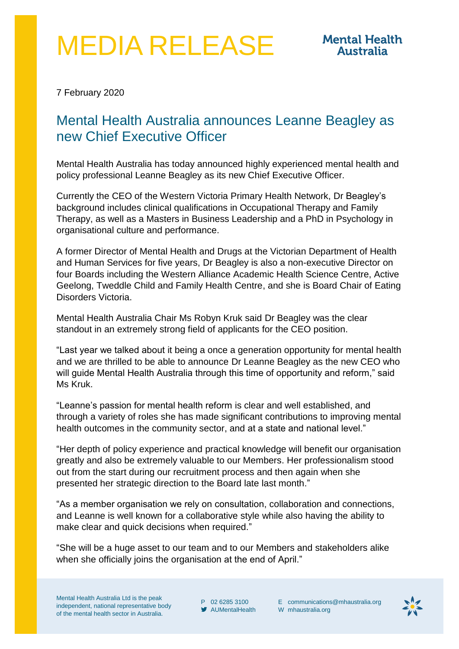## MEDIA RELEASE

7 February 2020

## Mental Health Australia announces Leanne Beagley as new Chief Executive Officer

Mental Health Australia has today announced highly experienced mental health and policy professional Leanne Beagley as its new Chief Executive Officer.

Currently the CEO of the Western Victoria Primary Health Network, Dr Beagley's background includes clinical qualifications in Occupational Therapy and Family Therapy, as well as a Masters in Business Leadership and a PhD in Psychology in organisational culture and performance.

A former Director of Mental Health and Drugs at the Victorian Department of Health and Human Services for five years, Dr Beagley is also a non-executive Director on four Boards including the Western Alliance Academic Health Science Centre, Active Geelong, Tweddle Child and Family Health Centre, and she is Board Chair of Eating Disorders Victoria.

Mental Health Australia Chair Ms Robyn Kruk said Dr Beagley was the clear standout in an extremely strong field of applicants for the CEO position.

"Last year we talked about it being a once a generation opportunity for mental health and we are thrilled to be able to announce Dr Leanne Beagley as the new CEO who will guide Mental Health Australia through this time of opportunity and reform," said Ms Kruk.

"Leanne's passion for mental health reform is clear and well established, and through a variety of roles she has made significant contributions to improving mental health outcomes in the community sector, and at a state and national level."

"Her depth of policy experience and practical knowledge will benefit our organisation greatly and also be extremely valuable to our Members. Her professionalism stood out from the start during our recruitment process and then again when she presented her strategic direction to the Board late last month."

"As a member organisation we rely on consultation, collaboration and connections, and Leanne is well known for a collaborative style while also having the ability to make clear and quick decisions when required."

"She will be a huge asset to our team and to our Members and stakeholders alike when she officially joins the organisation at the end of April."

Mental Health Australia Ltd is the peak independent, national representative body of the mental health sector in Australia.

P 02 6285 3100 AUMentalHealth E [communications@mhaustralia.org](mailto:communications@mhaustralia.org) W [mhaustralia.org](http://www.mhaustralia.org/)